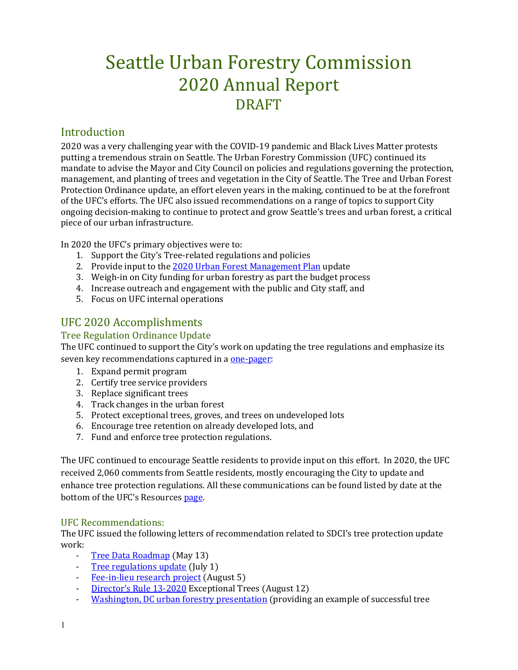# Seattle Urban Forestry Commission 2020 Annual Report DRAFT

## Introduction

2020 was a very challenging year with the COVID-19 pandemic and Black Lives Matter protests putting a tremendous strain on Seattle. The Urban Forestry Commission (UFC) continued its mandate to advise the Mayor and City Council on policies and regulations governing the protection, management, and planting of trees and vegetation in the City of Seattle. The Tree and Urban Forest Protection Ordinance update, an effort eleven years in the making, continued to be at the forefront of the UFC's efforts. The UFC also issued recommendations on a range of topics to support City ongoing decision-making to continue to protect and grow Seattle's trees and urban forest, a critical piece of our urban infrastructure.

In 2020 the UFC's primary objectives were to:

- 1. Support the City's Tree-related regulations and policies
- 2. Provide input to the [2020 Urban Forest Management Plan](http://www.seattle.gov/trees/management) update
- 3. Weigh-in on City funding for urban forestry as part the budget process
- 4. Increase outreach and engagement with the public and City staff, and
- 5. Focus on UFC internal operations

# UFC 2020 Accomplishments

### Tree Regulation Ordinance Update

The UFC continued to support the City's work on updating the tree regulations and emphasize its seven key recommendations captured in [a one-pager:](http://www.seattle.gov/Documents/Departments/UrbanForestryCommission/Resources/ADOPTEDTPOUpdateOnePager100919.pdf)

- 1. Expand permit program
- 2. Certify tree service providers
- 3. Replace significant trees
- 4. Track changes in the urban forest
- 5. Protect exceptional trees, groves, and trees on undeveloped lots
- 6. Encourage tree retention on already developed lots, and
- 7. Fund and enforce tree protection regulations.

The UFC continued to encourage Seattle residents to provide input on this effort. In 2020, the UFC received 2,060 comments from Seattle residents, mostly encouraging the City to update and enhance tree protection regulations. All these communications can be found listed by date at the bottom of the UFC's Resources [page.](http://www.seattle.gov/urbanforestrycommission/resources)

#### UFC Recommendations:

The UFC issued the following letters of recommendation related to SDCI's tree protection update work:

- [Tree Data Roadmap](http://www.seattle.gov/Documents/Departments/UrbanForestryCommission/FinalIssuedDocuments/WhatWeDo-Recomms/ADOPTEDTreeDataRoadmapThankyou051320.pdf) (May 13)
- [Tree regulations update](http://www.seattle.gov/Documents/Departments/UrbanForestryCommission/FinalIssuedDocuments/Recommendations/ADOPTEDThankYouChandaTreeRegs070120corrected.pdf) (July 1)
- [Fee-in-lieu research project](http://www.seattle.gov/Documents/Departments/UrbanForestryCommission/FinalIssuedDocuments/WhatWeDo-Recomms/ADOPTEDFee-in-lieuThankYou080520.pdf) (August 5)
- [Director's Rule 13-2020](http://www.seattle.gov/Documents/Departments/UrbanForestryCommission/FinalIssuedDocuments/WhatWeDo-Recomms/ADOPTED-DR13-2020letter081220.pdf) Exceptional Trees (August 12)
- [Washington, DC urban forestry presentation](http://www.seattle.gov/Documents/Departments/UrbanForestryCommission/FinalIssuedDocuments/WhatWeDo-Recomms/ADOPTEDWaDCFeeInLieuThankYou090920.pdf) (providing an example of successful tree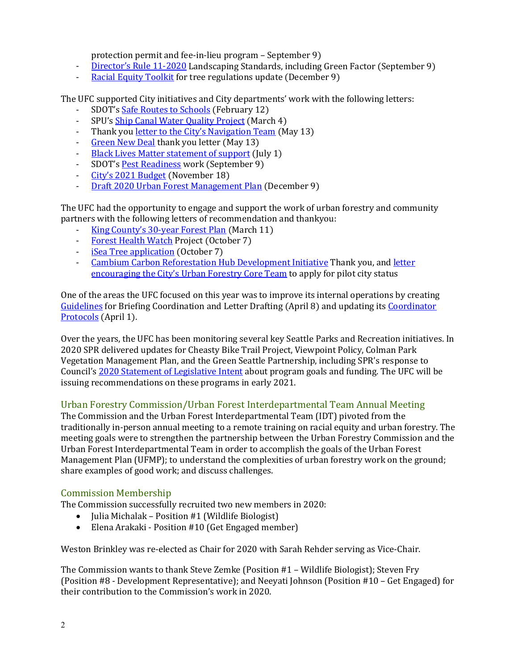protection permit and fee-in-lieu program – September 9)

- [Director's Rule 11-2020](http://www.seattle.gov/Documents/Departments/UrbanForestryCommission/FinalIssuedDocuments/WhatWeDo-Recomms/ADOPTEDCommentsDR11final090920.pdf) Landscaping Standards, including Green Factor (September 9)<br>Racial Equity Toolkit for tree regulations undate (December 9)
- [Racial Equity Toolkit](http://www.seattle.gov/Documents/Departments/UrbanForestryCommission/FinalIssuedDocuments/WhatWeDo-Recomms/ADOPTED-SDCI-RETthankYou120920.pdf) for tree regulations update (December 9)

The UFC supported City initiatives and City departments' work with the following letters:<br>- SDOT's Safe Routes to Schools (February 12)

- SDOT's [Safe Routes to Schools](http://www.seattle.gov/Documents/Departments/UrbanForestryCommission/FinalIssuedDocuments/WhatWeDo-Recomms/ADOPTEDSafeRoutesToSchools021220.pdf) (February 12)
- SPU'[s Ship Canal Water Quality Project](http://www.seattle.gov/Documents/Departments/UrbanForestryCommission/FinalIssuedDocuments/WhatWeDo-Recomms/ADOPTEDCWQP2020BriefingLetter030420.pdf) (March 4)
- Thank you [letter to the City's Navigation Team](http://www.seattle.gov/Documents/Departments/UrbanForestryCommission/FinalIssuedDocuments/WhatWeDo-Recomms/ADOPTEDNavTeamThankyou051320v2.pdf) (May 13)
- [Green New Deal](http://www.seattle.gov/Documents/Departments/UrbanForestryCommission/FinalIssuedDocuments/WhatWeDo-Recomms/ADOPTEDGNDThankyou051320.pdf) thank you letter (May 13)
- [Black Lives Matter statement of support](http://www.seattle.gov/Documents/Departments/UrbanForestryCommission/FinalIssuedDocuments/Recommendations/ADOPTED-BLMletter070120corrected.pdf) (July 1)
- SDOT's <u>Pest Readiness</u> work (September 9)<br>- City's 2021 Budget (November 18)
- [City's 2021 Budget](http://www.seattle.gov/Documents/Departments/UrbanForestryCommission/FinalIssuedDocuments/WhatWeDo-Recomms/ADOPTED-UFC2021BudgetLetter111820.pdf) (November 18)<br>- Draft 2020 Urban Forest Manageme
- [Draft 2020 Urban Forest Management Plan](http://www.seattle.gov/Documents/Departments/UrbanForestryCommission/FinalIssuedDocuments/WhatWeDo-Recomms/ADOPTED_2020UFMPcomments120920final.pdf) (December 9)

The UFC had the opportunity to engage and support the work of urban forestry and community partners with the following letters of recommendation and thankyou:

- [King County's 30-year Forest Plan](http://www.seattle.gov/Documents/Departments/UrbanForestryCommission/FinalIssuedDocuments/WhatWeDo-Recomms/ADOPTEDKCty30YrForestPlan031120FINAL.pdf) (March 11)
- [Forest Health Watch](http://www.seattle.gov/Documents/Departments/UrbanForestryCommission/FinalIssuedDocuments/WhatWeDo-Recomms/ADOPTEDForestHealthWatchThankYou100720.pdf) Project (October 7)
- [iSea Tree application](http://www.seattle.gov/Documents/Departments/UrbanForestryCommission/FinalIssuedDocuments/WhatWeDo-Recomms/ADOPTEDiSeaTreeThankYou100720.pdf) (October 7)
- [Cambium Carbon Reforestation Hub Development Initiative](http://www.seattle.gov/Documents/Departments/UrbanForestryCommission/FinalIssuedDocuments/WhatWeDo-Recomms/ADOPTEDCambiumCarbonThankYou110420.pdf) Thank you, and letter [encouraging the City's Urban Forestry Core Team](http://www.seattle.gov/Documents/Departments/UrbanForestryCommission/FinalIssuedDocuments/WhatWeDo-Recomms/ADOPTEDCambiumCarbonPilotApplication101420.pdf) to apply for pilot city status

One of the areas the UFC focused on this year was to improve its internal operations by creating [Guidelines](http://www.seattle.gov/Documents/Departments/UrbanForestryCommission/FinalIssuedDocuments/BylawsProtocols/ADOPTEDBriefingAndLetterDraftingProcessGuide040820FINAL.pdf) for Briefing Coordination and Letter Drafting (April 8) and updating its [Coordinator](http://www.seattle.gov/Documents/Departments/UrbanForestryCommission/FinalIssuedDocuments/BylawsProtocols/ADOPTEDrevisedUFCommissionProtocols040120.pdf)  [Protocols](http://www.seattle.gov/Documents/Departments/UrbanForestryCommission/FinalIssuedDocuments/BylawsProtocols/ADOPTEDrevisedUFCommissionProtocols040120.pdf) (April 1).

Over the years, the UFC has been monitoring several key Seattle Parks and Recreation initiatives. In 2020 SPR delivered updates for Cheasty Bike Trail Project, Viewpoint Policy, Colman Park Vegetation Management Plan, and the Green Seattle Partnership, including SPR's response to Council'[s 2020 Statement of Legislative Intent](http://www.seattle.gov/Documents/Departments/UrbanForestryCommission/2019/2019docs/2020-GSP-SLI6A2.pdf) about program goals and funding. The UFC will be issuing recommendations on these programs in early 2021.

#### Urban Forestry Commission/Urban Forest Interdepartmental Team Annual Meeting

The Commission and the Urban Forest Interdepartmental Team (IDT) pivoted from the traditionally in-person annual meeting to a remote training on racial equity and urban forestry. The meeting goals were to strengthen the partnership between the Urban Forestry Commission and the Urban Forest Interdepartmental Team in order to accomplish the goals of the Urban Forest Management Plan (UFMP); to understand the complexities of urban forestry work on the ground; share examples of good work; and discuss challenges.

#### Commission Membership

The Commission successfully recruited two new members in 2020:

- Julia Michalak Position #1 (Wildlife Biologist)
- Elena Arakaki Position #10 (Get Engaged member)

Weston Brinkley was re-elected as Chair for 2020 with Sarah Rehder serving as Vice-Chair.

The Commission wants to thank Steve Zemke (Position #1 – Wildlife Biologist); Steven Fry (Position #8 - Development Representative); and Neeyati Johnson (Position #10 – Get Engaged) for their contribution to the Commission's work in 2020.